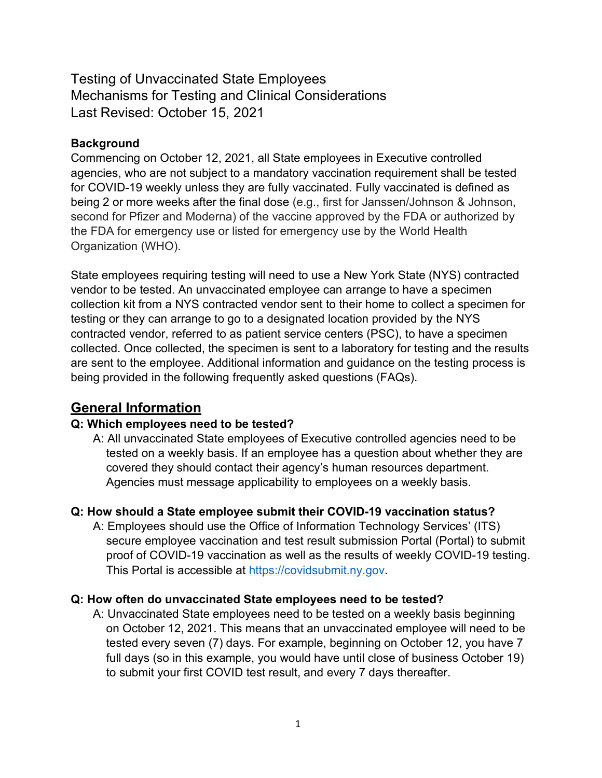Testing of Unvaccinated State Employees Mechanisms for Testing and Clinical Considerations Last Revised: October 15, 2021

# **Background**

Commencing on October 12, 2021, all State employees in Executive controlled agencies, who are not subject to a mandatory vaccination requirement shall be tested for COVID-19 weekly unless they are fully vaccinated. Fully vaccinated is defined as being 2 or more weeks after the final dose (e.g., first for Janssen/Johnson & Johnson, second for Pfizer and Moderna) of the vaccine approved by the FDA or authorized by the FDA for emergency use or listed for emergency use by the World Health Organization (WHO).

State employees requiring testing will need to use a New York State (NYS) contracted vendor to be tested. An unvaccinated employee can arrange to have a specimen collection kit from a NYS contracted vendor sent to their home to collect a specimen for testing or they can arrange to go to a designated location provided by the NYS contracted vendor, referred to as patient service centers (PSC), to have a specimen collected. Once collected, the specimen is sent to a laboratory for testing and the results are sent to the employee. Additional information and guidance on the testing process is being provided in the following frequently asked questions (FAQs).

# **General Information**

## **Q: Which employees need to be tested?**

A: All unvaccinated State employees of Executive controlled agencies need to be tested on a weekly basis. If an employee has a question about whether they are covered they should contact their agency's human resources department. Agencies must message applicability to employees on a weekly basis.

## **Q: How should a State employee submit their COVID-19 vaccination status?**

A: Employees should use the Office of Information Technology Services' (ITS) secure employee vaccination and test result submission Portal (Portal) to submit proof of COVID-19 vaccination as well as the results of weekly COVID-19 testing. This Portal is accessible at [https://covidsubmit.ny.gov.](https://covidsubmit.ny.gov/)

## **Q: How often do unvaccinated State employees need to be tested?**

A: Unvaccinated State employees need to be tested on a weekly basis beginning on October 12, 2021. This means that an unvaccinated employee will need to be tested every seven (7) days. For example, beginning on October 12, you have 7 full days (so in this example, you would have until close of business October 19) to submit your first COVID test result, and every 7 days thereafter.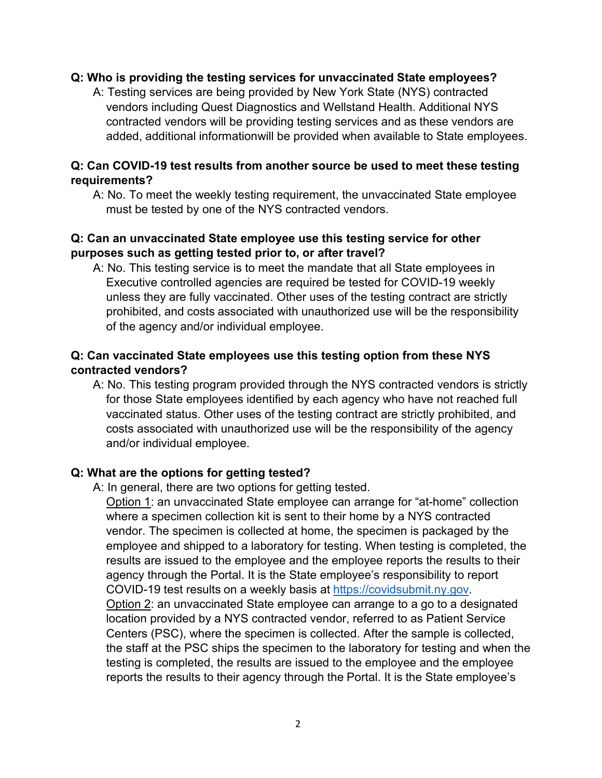#### **Q: Who is providing the testing services for unvaccinated State employees?**

A: Testing services are being provided by New York State (NYS) contracted vendors including Quest Diagnostics and Wellstand Health. Additional NYS contracted vendors will be providing testing services and as these vendors are added, additional informationwill be provided when available to State employees.

#### **Q: Can COVID-19 test results from another source be used to meet these testing requirements?**

A: No. To meet the weekly testing requirement, the unvaccinated State employee must be tested by one of the NYS contracted vendors.

#### **Q: Can an unvaccinated State employee use this testing service for other purposes such as getting tested prior to, or after travel?**

A: No. This testing service is to meet the mandate that all State employees in Executive controlled agencies are required be tested for COVID-19 weekly unless they are fully vaccinated. Other uses of the testing contract are strictly prohibited, and costs associated with unauthorized use will be the responsibility of the agency and/or individual employee.

## **Q: Can vaccinated State employees use this testing option from these NYS contracted vendors?**

A: No. This testing program provided through the NYS contracted vendors is strictly for those State employees identified by each agency who have not reached full vaccinated status. Other uses of the testing contract are strictly prohibited, and costs associated with unauthorized use will be the responsibility of the agency and/or individual employee.

#### **Q: What are the options for getting tested?**

A: In general, there are two options for getting tested.

Option 1: an unvaccinated State employee can arrange for "at-home" collection where a specimen collection kit is sent to their home by a NYS contracted vendor. The specimen is collected at home, the specimen is packaged by the employee and shipped to a laboratory for testing. When testing is completed, the results are issued to the employee and the employee reports the results to their agency through the Portal. It is the State employee's responsibility to report COVID-19 test results on a weekly basis at [https://covidsubmit.ny.gov.](https://covidsubmit.ny.gov/) Option 2: an unvaccinated State employee can arrange to a go to a designated location provided by a NYS contracted vendor, referred to as Patient Service Centers (PSC), where the specimen is collected. After the sample is collected, the staff at the PSC ships the specimen to the laboratory for testing and when the testing is completed, the results are issued to the employee and the employee reports the results to their agency through the Portal. It is the State employee's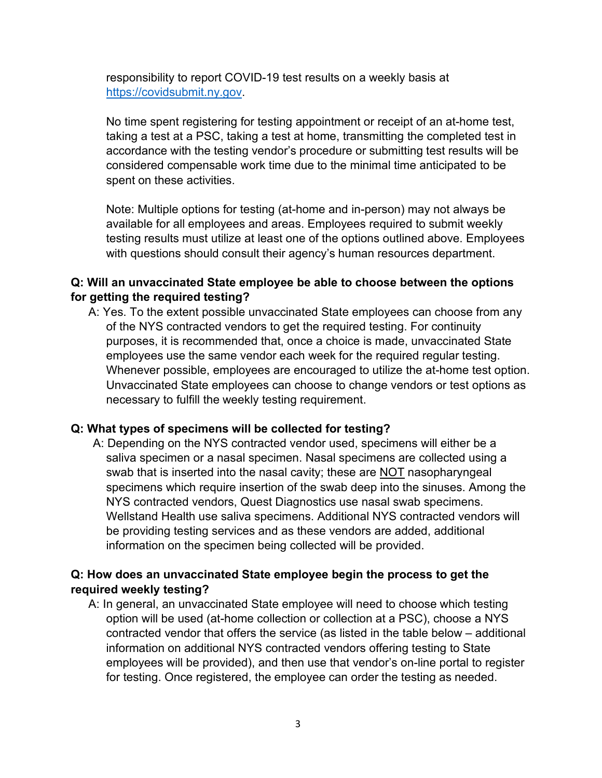responsibility to report COVID-19 test results on a weekly basis at [https://covidsubmit.ny.gov.](https://covidsubmit.ny.gov/)

No time spent registering for testing appointment or receipt of an at-home test, taking a test at a PSC, taking a test at home, transmitting the completed test in accordance with the testing vendor's procedure or submitting test results will be considered compensable work time due to the minimal time anticipated to be spent on these activities.

Note: Multiple options for testing (at-home and in-person) may not always be available for all employees and areas. Employees required to submit weekly testing results must utilize at least one of the options outlined above. Employees with questions should consult their agency's human resources department.

#### **Q: Will an unvaccinated State employee be able to choose between the options for getting the required testing?**

A: Yes. To the extent possible unvaccinated State employees can choose from any of the NYS contracted vendors to get the required testing. For continuity purposes, it is recommended that, once a choice is made, unvaccinated State employees use the same vendor each week for the required regular testing. Whenever possible, employees are encouraged to utilize the at-home test option. Unvaccinated State employees can choose to change vendors or test options as necessary to fulfill the weekly testing requirement.

## **Q: What types of specimens will be collected for testing?**

A: Depending on the NYS contracted vendor used, specimens will either be a saliva specimen or a nasal specimen. Nasal specimens are collected using a swab that is inserted into the nasal cavity; these are NOT nasopharyngeal specimens which require insertion of the swab deep into the sinuses. Among the NYS contracted vendors, Quest Diagnostics use nasal swab specimens. Wellstand Health use saliva specimens. Additional NYS contracted vendors will be providing testing services and as these vendors are added, additional information on the specimen being collected will be provided.

## **Q: How does an unvaccinated State employee begin the process to get the required weekly testing?**

A: In general, an unvaccinated State employee will need to choose which testing option will be used (at-home collection or collection at a PSC), choose a NYS contracted vendor that offers the service (as listed in the table below – additional information on additional NYS contracted vendors offering testing to State employees will be provided), and then use that vendor's on-line portal to register for testing. Once registered, the employee can order the testing as needed.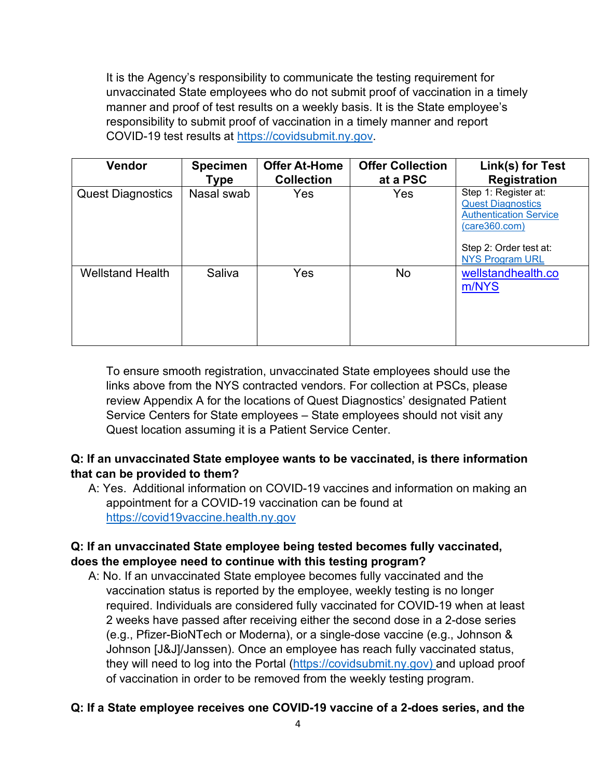It is the Agency's responsibility to communicate the testing requirement for unvaccinated State employees who do not submit proof of vaccination in a timely manner and proof of test results on a weekly basis. It is the State employee's responsibility to submit proof of vaccination in a timely manner and report COVID-19 test results at [https://covidsubmit.ny.gov.](https://covidsubmit.ny.gov/)

| <b>Vendor</b>            | <b>Specimen</b><br>Type | <b>Offer At-Home</b><br><b>Collection</b> | <b>Offer Collection</b><br>at a PSC | Link(s) for Test<br><b>Registration</b>                                                                                                                |
|--------------------------|-------------------------|-------------------------------------------|-------------------------------------|--------------------------------------------------------------------------------------------------------------------------------------------------------|
| <b>Quest Diagnostics</b> | Nasal swab              | Yes                                       | Yes                                 | Step 1: Register at:<br><b>Quest Diagnostics</b><br><b>Authentication Service</b><br>(care360.com)<br>Step 2: Order test at:<br><b>NYS Program URL</b> |
| <b>Wellstand Health</b>  | Saliva                  | Yes                                       | <b>No</b>                           | wellstandhealth.co<br>m/NYS                                                                                                                            |

To ensure smooth registration, unvaccinated State employees should use the links above from the NYS contracted vendors. For collection at PSCs, please review Appendix A for the locations of Quest Diagnostics' designated Patient Service Centers for State employees – State employees should not visit any Quest location assuming it is a Patient Service Center.

# **Q: If an unvaccinated State employee wants to be vaccinated, is there information that can be provided to them?**

A: Yes. Additional information on COVID-19 vaccines and information on making an appointment for a COVID-19 vaccination can be found at [https://covid19vaccine.health.ny.gov](https://covid19vaccine.health.ny.gov/)

# **Q: If an unvaccinated State employee being tested becomes fully vaccinated, does the employee need to continue with this testing program?**

A: No. If an unvaccinated State employee becomes fully vaccinated and the vaccination status is reported by the employee, weekly testing is no longer required. Individuals are considered fully vaccinated for COVID-19 when at least 2 weeks have passed after receiving either the second dose in a 2-dose series (e.g., Pfizer-BioNTech or Moderna), or a single-dose vaccine (e.g., Johnson & Johnson [J&J]/Janssen). Once an employee has reach fully vaccinated status, they will need to log into the Portal [\(https://covidsubmit.ny.gov\)](https://covidsubmit.ny.gov/) and upload proof of vaccination in order to be removed from the weekly testing program.

## **Q: If a State employee receives one COVID-19 vaccine of a 2-does series, and the**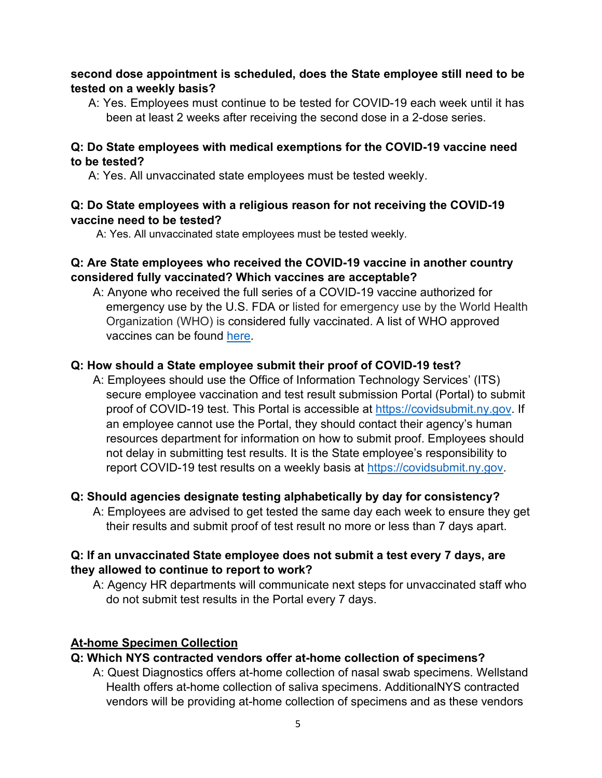## **second dose appointment is scheduled, does the State employee still need to be tested on a weekly basis?**

A: Yes. Employees must continue to be tested for COVID-19 each week until it has been at least 2 weeks after receiving the second dose in a 2-dose series.

#### **Q: Do State employees with medical exemptions for the COVID-19 vaccine need to be tested?**

A: Yes. All unvaccinated state employees must be tested weekly.

#### **Q: Do State employees with a religious reason for not receiving the COVID-19 vaccine need to be tested?**

A: Yes. All unvaccinated state employees must be tested weekly.

## **Q: Are State employees who received the COVID-19 vaccine in another country considered fully vaccinated? Which vaccines are acceptable?**

A: Anyone who received the full series of a COVID-19 vaccine authorized for emergency use by the U.S. FDA or listed for emergency use by the World Health Organization (WHO) is considered fully vaccinated. A list of WHO approved vaccines can be found [here.](https://extranet.who.int/pqweb/sites/default/files/documents/Status_COVID_VAX_29Sept2021_0.pdf)

# **Q: How should a State employee submit their proof of COVID-19 test?**

A: Employees should use the Office of Information Technology Services' (ITS) secure employee vaccination and test result submission Portal (Portal) to submit proof of COVID-19 test. This Portal is accessible at [https://covidsubmit.ny.gov.](https://covidsubmit.ny.gov/) If an employee cannot use the Portal, they should contact their agency's human resources department for information on how to submit proof. Employees should not delay in submitting test results. It is the State employee's responsibility to report COVID-19 test results on a weekly basis at [https://covidsubmit.ny.gov.](https://covidsubmit.ny.gov/)

## **Q: Should agencies designate testing alphabetically by day for consistency?**

A: Employees are advised to get tested the same day each week to ensure they get their results and submit proof of test result no more or less than 7 days apart.

## **Q: If an unvaccinated State employee does not submit a test every 7 days, are they allowed to continue to report to work?**

A: Agency HR departments will communicate next steps for unvaccinated staff who do not submit test results in the Portal every 7 days.

## **At-home Specimen Collection**

# **Q: Which NYS contracted vendors offer at-home collection of specimens?**

A: Quest Diagnostics offers at-home collection of nasal swab specimens. Wellstand Health offers at-home collection of saliva specimens. AdditionalNYS contracted vendors will be providing at-home collection of specimens and as these vendors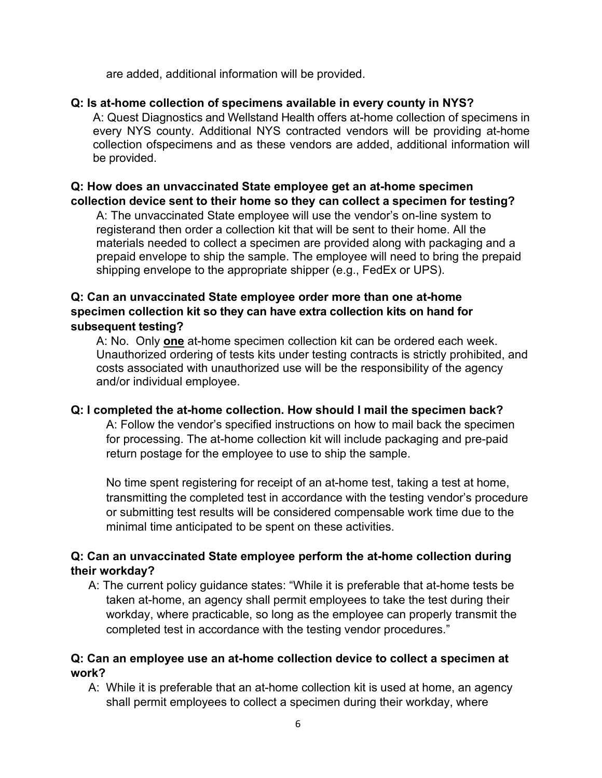are added, additional information will be provided.

#### **Q: Is at-home collection of specimens available in every county in NYS?**

A: Quest Diagnostics and Wellstand Health offers at-home collection of specimens in every NYS county. Additional NYS contracted vendors will be providing at-home collection ofspecimens and as these vendors are added, additional information will be provided.

## **Q: How does an unvaccinated State employee get an at-home specimen collection device sent to their home so they can collect a specimen for testing?**

A: The unvaccinated State employee will use the vendor's on-line system to registerand then order a collection kit that will be sent to their home. All the materials needed to collect a specimen are provided along with packaging and a prepaid envelope to ship the sample. The employee will need to bring the prepaid shipping envelope to the appropriate shipper (e.g., FedEx or UPS).

## **Q: Can an unvaccinated State employee order more than one at-home specimen collection kit so they can have extra collection kits on hand for subsequent testing?**

A: No. Only **one** at-home specimen collection kit can be ordered each week. Unauthorized ordering of tests kits under testing contracts is strictly prohibited, and costs associated with unauthorized use will be the responsibility of the agency and/or individual employee.

#### **Q: I completed the at-home collection. How should I mail the specimen back?**

A: Follow the vendor's specified instructions on how to mail back the specimen for processing. The at-home collection kit will include packaging and pre-paid return postage for the employee to use to ship the sample.

No time spent registering for receipt of an at-home test, taking a test at home, transmitting the completed test in accordance with the testing vendor's procedure or submitting test results will be considered compensable work time due to the minimal time anticipated to be spent on these activities.

## **Q: Can an unvaccinated State employee perform the at-home collection during their workday?**

A: The current policy guidance states: "While it is preferable that at-home tests be taken at-home, an agency shall permit employees to take the test during their workday, where practicable, so long as the employee can properly transmit the completed test in accordance with the testing vendor procedures."

#### **Q: Can an employee use an at-home collection device to collect a specimen at work?**

A: While it is preferable that an at-home collection kit is used at home, an agency shall permit employees to collect a specimen during their workday, where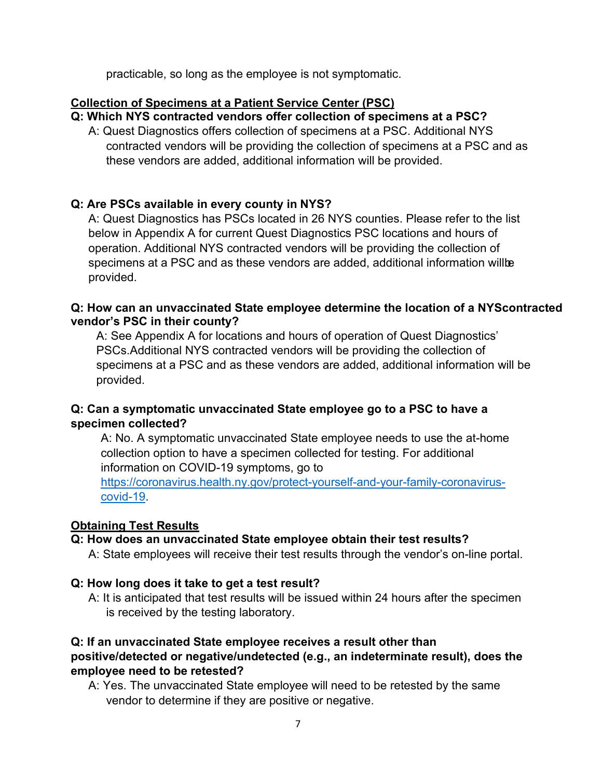practicable, so long as the employee is not symptomatic.

#### **Collection of Specimens at a Patient Service Center (PSC)**

#### **Q: Which NYS contracted vendors offer collection of specimens at a PSC?**

A: Quest Diagnostics offers collection of specimens at a PSC. Additional NYS contracted vendors will be providing the collection of specimens at a PSC and as these vendors are added, additional information will be provided.

# **Q: Are PSCs available in every county in NYS?**

A: Quest Diagnostics has PSCs located in 26 NYS counties. Please refer to the list below in Appendix A for current Quest Diagnostics PSC locations and hours of operation. Additional NYS contracted vendors will be providing the collection of specimens at a PSC and as these vendors are added, additional information willbe provided.

#### **Q: How can an unvaccinated State employee determine the location of a NYScontracted vendor's PSC in their county?**

A: See Appendix A for locations and hours of operation of Quest Diagnostics' PSCs.Additional NYS contracted vendors will be providing the collection of specimens at a PSC and as these vendors are added, additional information will be provided.

# **Q: Can a symptomatic unvaccinated State employee go to a PSC to have a specimen collected?**

A: No. A symptomatic unvaccinated State employee needs to use the at-home collection option to have a specimen collected for testing. For additional information on COVID-19 symptoms, go to

[https://coronavirus.health.ny.gov/protect-yourself-and-your-family-coronavirus](https://coronavirus.health.ny.gov/protect-yourself-and-your-family-coronavirus-covid-19)[covid-19.](https://coronavirus.health.ny.gov/protect-yourself-and-your-family-coronavirus-covid-19)

## **Obtaining Test Results**

## **Q: How does an unvaccinated State employee obtain their test results?**

A: State employees will receive their test results through the vendor's on-line portal.

## **Q: How long does it take to get a test result?**

A: It is anticipated that test results will be issued within 24 hours after the specimen is received by the testing laboratory.

#### **Q: If an unvaccinated State employee receives a result other than positive/detected or negative/undetected (e.g., an indeterminate result), does the employee need to be retested?**

A: Yes. The unvaccinated State employee will need to be retested by the same vendor to determine if they are positive or negative.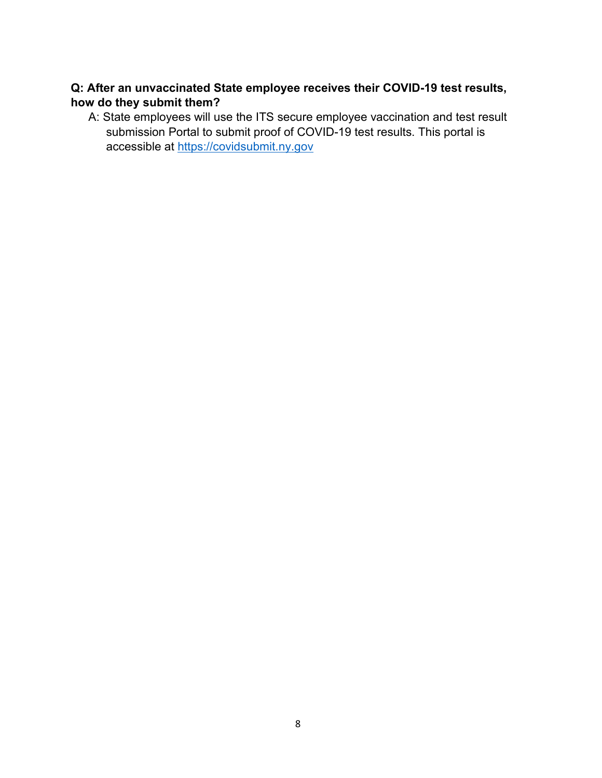## **Q: After an unvaccinated State employee receives their COVID-19 test results, how do they submit them?**

A: State employees will use the ITS secure employee vaccination and test result submission Portal to submit proof of COVID-19 test results. This portal is accessible at [https://covidsubmit.ny.gov](https://covidsubmit.ny.gov/)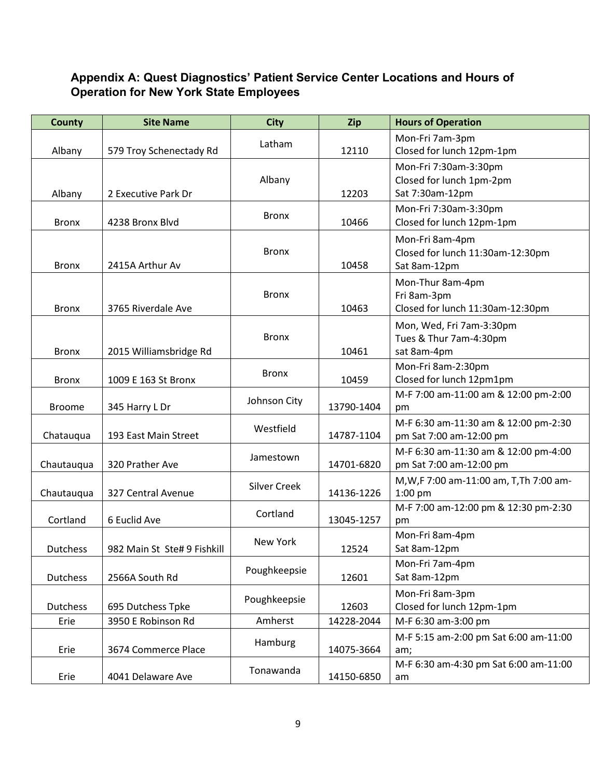# **Appendix A: Quest Diagnostics' Patient Service Center Locations and Hours of Operation for New York State Employees**

| <b>County</b>   | <b>Site Name</b>            | <b>City</b>         | Zip        | <b>Hours of Operation</b>                                            |
|-----------------|-----------------------------|---------------------|------------|----------------------------------------------------------------------|
| Albany          | 579 Troy Schenectady Rd     | Latham              | 12110      | Mon-Fri 7am-3pm<br>Closed for lunch 12pm-1pm                         |
| Albany          | 2 Executive Park Dr         | Albany              | 12203      | Mon-Fri 7:30am-3:30pm<br>Closed for lunch 1pm-2pm<br>Sat 7:30am-12pm |
| <b>Bronx</b>    | 4238 Bronx Blvd             | <b>Bronx</b>        | 10466      | Mon-Fri 7:30am-3:30pm<br>Closed for lunch 12pm-1pm                   |
| <b>Bronx</b>    | 2415A Arthur Av             | <b>Bronx</b>        | 10458      | Mon-Fri 8am-4pm<br>Closed for lunch 11:30am-12:30pm<br>Sat 8am-12pm  |
| <b>Bronx</b>    | 3765 Riverdale Ave          | <b>Bronx</b>        | 10463      | Mon-Thur 8am-4pm<br>Fri 8am-3pm<br>Closed for lunch 11:30am-12:30pm  |
| <b>Bronx</b>    | 2015 Williamsbridge Rd      | <b>Bronx</b>        | 10461      | Mon, Wed, Fri 7am-3:30pm<br>Tues & Thur 7am-4:30pm<br>sat 8am-4pm    |
| <b>Bronx</b>    | 1009 E 163 St Bronx         | <b>Bronx</b>        | 10459      | Mon-Fri 8am-2:30pm<br>Closed for lunch 12pm1pm                       |
| <b>Broome</b>   | 345 Harry L Dr              | Johnson City        | 13790-1404 | M-F 7:00 am-11:00 am & 12:00 pm-2:00<br>pm                           |
| Chatauqua       | 193 East Main Street        | Westfield           | 14787-1104 | M-F 6:30 am-11:30 am & 12:00 pm-2:30<br>pm Sat 7:00 am-12:00 pm      |
| Chautauqua      | 320 Prather Ave             | Jamestown           | 14701-6820 | M-F 6:30 am-11:30 am & 12:00 pm-4:00<br>pm Sat 7:00 am-12:00 pm      |
| Chautauqua      | 327 Central Avenue          | <b>Silver Creek</b> | 14136-1226 | M, W, F 7:00 am-11:00 am, T, Th 7:00 am-<br>1:00 pm                  |
| Cortland        | 6 Euclid Ave                | Cortland            | 13045-1257 | M-F 7:00 am-12:00 pm & 12:30 pm-2:30<br>pm                           |
| <b>Dutchess</b> | 982 Main St Ste# 9 Fishkill | New York            | 12524      | Mon-Fri 8am-4pm<br>Sat 8am-12pm                                      |
| Dutchess        | 2566A South Rd              | Poughkeepsie        | 12601      | Mon-Fri 7am-4pm<br>Sat 8am-12pm                                      |
| Dutchess        | 695 Dutchess Tpke           | Poughkeepsie        | 12603      | Mon-Fri 8am-3pm<br>Closed for lunch 12pm-1pm                         |
| Erie            | 3950 E Robinson Rd          | Amherst             | 14228-2044 | M-F 6:30 am-3:00 pm                                                  |
| Erie            | 3674 Commerce Place         | Hamburg             | 14075-3664 | M-F 5:15 am-2:00 pm Sat 6:00 am-11:00<br>am;                         |
| Erie            | 4041 Delaware Ave           | Tonawanda           | 14150-6850 | M-F 6:30 am-4:30 pm Sat 6:00 am-11:00<br>am                          |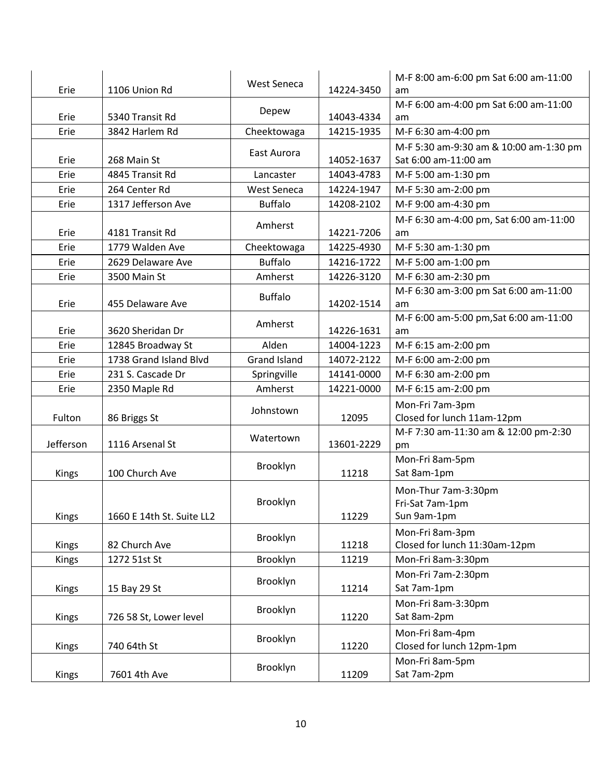| Erie      | 1106 Union Rd             | <b>West Seneca</b>  | 14224-3450 | M-F 8:00 am-6:00 pm Sat 6:00 am-11:00<br>am                    |
|-----------|---------------------------|---------------------|------------|----------------------------------------------------------------|
| Erie      | 5340 Transit Rd           | Depew               | 14043-4334 | M-F 6:00 am-4:00 pm Sat 6:00 am-11:00<br>am                    |
| Erie      | 3842 Harlem Rd            | Cheektowaga         | 14215-1935 | M-F 6:30 am-4:00 pm                                            |
| Erie      | 268 Main St               | East Aurora         | 14052-1637 | M-F 5:30 am-9:30 am & 10:00 am-1:30 pm<br>Sat 6:00 am-11:00 am |
| Erie      | 4845 Transit Rd           | Lancaster           | 14043-4783 | M-F 5:00 am-1:30 pm                                            |
| Erie      | 264 Center Rd             | <b>West Seneca</b>  | 14224-1947 | M-F 5:30 am-2:00 pm                                            |
| Erie      | 1317 Jefferson Ave        | <b>Buffalo</b>      | 14208-2102 | M-F 9:00 am-4:30 pm                                            |
| Erie      | 4181 Transit Rd           | Amherst             | 14221-7206 | M-F 6:30 am-4:00 pm, Sat 6:00 am-11:00<br>am                   |
| Erie      | 1779 Walden Ave           | Cheektowaga         | 14225-4930 | M-F 5:30 am-1:30 pm                                            |
| Erie      | 2629 Delaware Ave         | <b>Buffalo</b>      | 14216-1722 | M-F 5:00 am-1:00 pm                                            |
| Erie      | 3500 Main St              | Amherst             | 14226-3120 | M-F 6:30 am-2:30 pm                                            |
| Erie      | 455 Delaware Ave          | <b>Buffalo</b>      | 14202-1514 | M-F 6:30 am-3:00 pm Sat 6:00 am-11:00<br>am                    |
| Erie      | 3620 Sheridan Dr          | Amherst             | 14226-1631 | M-F 6:00 am-5:00 pm, Sat 6:00 am-11:00<br>am                   |
| Erie      | 12845 Broadway St         | Alden               | 14004-1223 | M-F 6:15 am-2:00 pm                                            |
| Erie      | 1738 Grand Island Blvd    | <b>Grand Island</b> | 14072-2122 | M-F 6:00 am-2:00 pm                                            |
| Erie      | 231 S. Cascade Dr         | Springville         | 14141-0000 | M-F 6:30 am-2:00 pm                                            |
| Erie      | 2350 Maple Rd             | Amherst             | 14221-0000 | M-F 6:15 am-2:00 pm                                            |
| Fulton    | 86 Briggs St              | Johnstown           | 12095      | Mon-Fri 7am-3pm<br>Closed for lunch 11am-12pm                  |
| Jefferson | 1116 Arsenal St           | Watertown           | 13601-2229 | M-F 7:30 am-11:30 am & 12:00 pm-2:30<br>pm                     |
| Kings     | 100 Church Ave            | Brooklyn            | 11218      | Mon-Fri 8am-5pm<br>Sat 8am-1pm                                 |
| Kings     | 1660 E 14th St. Suite LL2 | Brooklyn            | 11229      | Mon-Thur 7am-3:30pm<br>Fri-Sat 7am-1pm<br>Sun 9am-1pm          |
| Kings     | 82 Church Ave             | Brooklyn            | 11218      | Mon-Fri 8am-3pm<br>Closed for lunch 11:30am-12pm               |
| Kings     | 1272 51st St              | Brooklyn            | 11219      | Mon-Fri 8am-3:30pm                                             |
| Kings     | 15 Bay 29 St              | Brooklyn            | 11214      | Mon-Fri 7am-2:30pm<br>Sat 7am-1pm                              |
| Kings     | 726 58 St, Lower level    | Brooklyn            | 11220      | Mon-Fri 8am-3:30pm<br>Sat 8am-2pm                              |
| Kings     | 740 64th St               | Brooklyn            | 11220      | Mon-Fri 8am-4pm<br>Closed for lunch 12pm-1pm                   |
| Kings     | 7601 4th Ave              | Brooklyn            | 11209      | Mon-Fri 8am-5pm<br>Sat 7am-2pm                                 |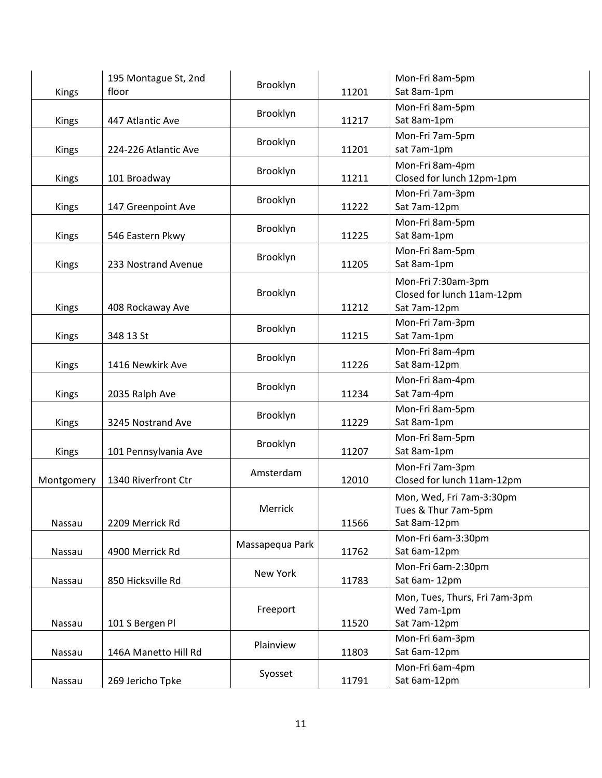| Kings        | 195 Montague St, 2nd<br>floor | Brooklyn        | 11201 | Mon-Fri 8am-5pm<br>Sat 8am-1pm                                   |
|--------------|-------------------------------|-----------------|-------|------------------------------------------------------------------|
| <b>Kings</b> | 447 Atlantic Ave              | Brooklyn        | 11217 | Mon-Fri 8am-5pm<br>Sat 8am-1pm                                   |
| Kings        | 224-226 Atlantic Ave          | Brooklyn        | 11201 | Mon-Fri 7am-5pm<br>sat 7am-1pm                                   |
| <b>Kings</b> | 101 Broadway                  | Brooklyn        | 11211 | Mon-Fri 8am-4pm<br>Closed for lunch 12pm-1pm                     |
| Kings        | 147 Greenpoint Ave            | Brooklyn        | 11222 | Mon-Fri 7am-3pm<br>Sat 7am-12pm                                  |
| <b>Kings</b> | 546 Eastern Pkwy              | Brooklyn        | 11225 | Mon-Fri 8am-5pm<br>Sat 8am-1pm                                   |
| <b>Kings</b> | 233 Nostrand Avenue           | Brooklyn        | 11205 | Mon-Fri 8am-5pm<br>Sat 8am-1pm                                   |
| Kings        | 408 Rockaway Ave              | Brooklyn        | 11212 | Mon-Fri 7:30am-3pm<br>Closed for lunch 11am-12pm<br>Sat 7am-12pm |
| Kings        | 348 13 St                     | Brooklyn        | 11215 | Mon-Fri 7am-3pm<br>Sat 7am-1pm                                   |
| <b>Kings</b> | 1416 Newkirk Ave              | Brooklyn        | 11226 | Mon-Fri 8am-4pm<br>Sat 8am-12pm                                  |
| Kings        | 2035 Ralph Ave                | Brooklyn        | 11234 | Mon-Fri 8am-4pm<br>Sat 7am-4pm                                   |
| <b>Kings</b> | 3245 Nostrand Ave             | Brooklyn        | 11229 | Mon-Fri 8am-5pm<br>Sat 8am-1pm                                   |
| Kings        | 101 Pennsylvania Ave          | Brooklyn        | 11207 | Mon-Fri 8am-5pm<br>Sat 8am-1pm                                   |
| Montgomery   | 1340 Riverfront Ctr           | Amsterdam       | 12010 | Mon-Fri 7am-3pm<br>Closed for lunch 11am-12pm                    |
| Nassau       | 2209 Merrick Rd               | Merrick         | 11566 | Mon, Wed, Fri 7am-3:30pm<br>Tues & Thur 7am-5pm<br>Sat 8am-12pm  |
| Nassau       | 4900 Merrick Rd               | Massapequa Park | 11762 | Mon-Fri 6am-3:30pm<br>Sat 6am-12pm                               |
| Nassau       | 850 Hicksville Rd             | New York        | 11783 | Mon-Fri 6am-2:30pm<br>Sat 6am-12pm                               |
| Nassau       | 101 S Bergen Pl               | Freeport        | 11520 | Mon, Tues, Thurs, Fri 7am-3pm<br>Wed 7am-1pm<br>Sat 7am-12pm     |
| Nassau       | 146A Manetto Hill Rd          | Plainview       | 11803 | Mon-Fri 6am-3pm<br>Sat 6am-12pm                                  |
| Nassau       | 269 Jericho Tpke              | Syosset         | 11791 | Mon-Fri 6am-4pm<br>Sat 6am-12pm                                  |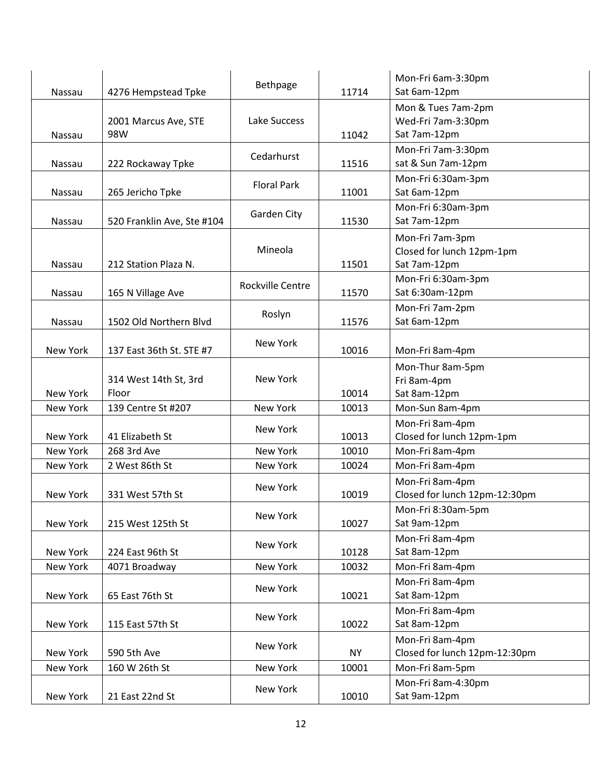| <b>Nassau</b>   | 4276 Hempstead Tpke            | Bethpage                | 11714     | Mon-Fri 6am-3:30pm<br>Sat 6am-12pm                           |
|-----------------|--------------------------------|-------------------------|-----------|--------------------------------------------------------------|
| Nassau          | 2001 Marcus Ave, STE<br>98W    | Lake Success            | 11042     | Mon & Tues 7am-2pm<br>Wed-Fri 7am-3:30pm<br>Sat 7am-12pm     |
| Nassau          | 222 Rockaway Tpke              | Cedarhurst              | 11516     | Mon-Fri 7am-3:30pm<br>sat & Sun 7am-12pm                     |
| <b>Nassau</b>   | 265 Jericho Tpke               | <b>Floral Park</b>      | 11001     | Mon-Fri 6:30am-3pm<br>Sat 6am-12pm                           |
| Nassau          | 520 Franklin Ave, Ste #104     | Garden City             | 11530     | Mon-Fri 6:30am-3pm<br>Sat 7am-12pm                           |
| Nassau          | 212 Station Plaza N.           | Mineola                 | 11501     | Mon-Fri 7am-3pm<br>Closed for lunch 12pm-1pm<br>Sat 7am-12pm |
| Nassau          | 165 N Village Ave              | <b>Rockville Centre</b> | 11570     | Mon-Fri 6:30am-3pm<br>Sat 6:30am-12pm                        |
| Nassau          | 1502 Old Northern Blvd         | Roslyn                  | 11576     | Mon-Fri 7am-2pm<br>Sat 6am-12pm                              |
| <b>New York</b> | 137 East 36th St. STE #7       | <b>New York</b>         | 10016     | Mon-Fri 8am-4pm                                              |
| New York        | 314 West 14th St, 3rd<br>Floor | New York                | 10014     | Mon-Thur 8am-5pm<br>Fri 8am-4pm<br>Sat 8am-12pm              |
| New York        | 139 Centre St #207             | New York                | 10013     | Mon-Sun 8am-4pm                                              |
| New York        | 41 Elizabeth St                | New York                | 10013     | Mon-Fri 8am-4pm<br>Closed for lunch 12pm-1pm                 |
| New York        | 268 3rd Ave                    | <b>New York</b>         | 10010     | Mon-Fri 8am-4pm                                              |
| New York        | 2 West 86th St                 | <b>New York</b>         | 10024     | Mon-Fri 8am-4pm                                              |
| New York        | 331 West 57th St               | <b>New York</b>         | 10019     | Mon-Fri 8am-4pm<br>Closed for lunch 12pm-12:30pm             |
| New York        | 215 West 125th St              | New York                | 10027     | Mon-Fri 8:30am-5pm<br>Sat 9am-12pm                           |
| New York        | 224 East 96th St               | New York                | 10128     | Mon-Fri 8am-4pm<br>Sat 8am-12pm                              |
| New York        | 4071 Broadway                  | New York                | 10032     | Mon-Fri 8am-4pm                                              |
| New York        | 65 East 76th St                | New York                | 10021     | Mon-Fri 8am-4pm<br>Sat 8am-12pm                              |
| New York        | 115 East 57th St               | New York                | 10022     | Mon-Fri 8am-4pm<br>Sat 8am-12pm                              |
| New York        | 590 5th Ave                    | New York                | <b>NY</b> | Mon-Fri 8am-4pm<br>Closed for lunch 12pm-12:30pm             |
| New York        | 160 W 26th St                  | New York                | 10001     | Mon-Fri 8am-5pm                                              |
| New York        | 21 East 22nd St                | New York                | 10010     | Mon-Fri 8am-4:30pm<br>Sat 9am-12pm                           |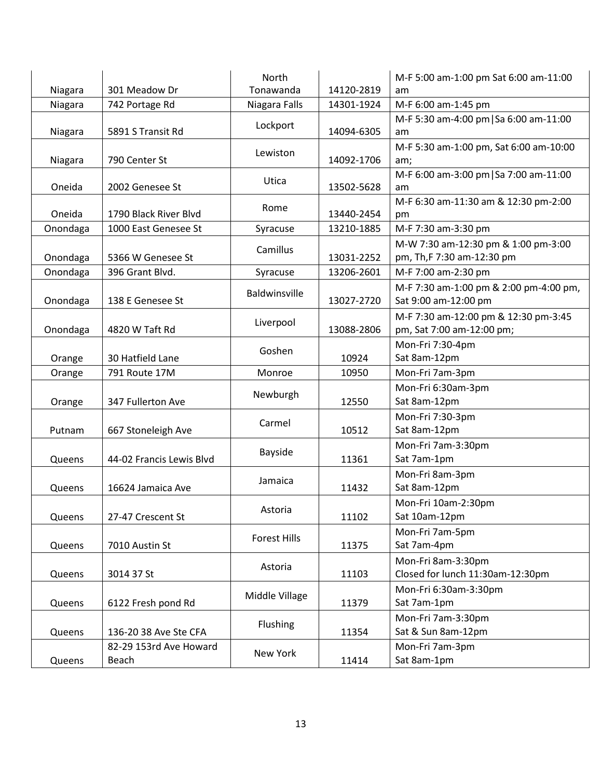| Niagara  | 301 Meadow Dr            | North<br>Tonawanda | 14120-2819 | M-F 5:00 am-1:00 pm Sat 6:00 am-11:00<br>am |
|----------|--------------------------|--------------------|------------|---------------------------------------------|
| Niagara  | 742 Portage Rd           | Niagara Falls      | 14301-1924 | M-F 6:00 am-1:45 pm                         |
|          |                          |                    |            | M-F 5:30 am-4:00 pm   Sa 6:00 am-11:00      |
| Niagara  | 5891 S Transit Rd        | Lockport           | 14094-6305 | am                                          |
|          |                          |                    |            | M-F 5:30 am-1:00 pm, Sat 6:00 am-10:00      |
| Niagara  | 790 Center St            | Lewiston           | 14092-1706 | am;                                         |
|          |                          |                    |            | M-F 6:00 am-3:00 pm   Sa 7:00 am-11:00      |
| Oneida   | 2002 Genesee St          | Utica              | 13502-5628 | am                                          |
|          |                          | Rome               |            | M-F 6:30 am-11:30 am & 12:30 pm-2:00        |
| Oneida   | 1790 Black River Blvd    |                    | 13440-2454 | pm                                          |
| Onondaga | 1000 East Genesee St     | Syracuse           | 13210-1885 | M-F 7:30 am-3:30 pm                         |
|          |                          | Camillus           |            | M-W 7:30 am-12:30 pm & 1:00 pm-3:00         |
| Onondaga | 5366 W Genesee St        |                    | 13031-2252 | pm, Th, F 7:30 am-12:30 pm                  |
| Onondaga | 396 Grant Blvd.          | Syracuse           | 13206-2601 | M-F 7:00 am-2:30 pm                         |
|          |                          | Baldwinsville      |            | M-F 7:30 am-1:00 pm & 2:00 pm-4:00 pm,      |
| Onondaga | 138 E Genesee St         |                    | 13027-2720 | Sat 9:00 am-12:00 pm                        |
|          |                          | Liverpool          |            | M-F 7:30 am-12:00 pm & 12:30 pm-3:45        |
| Onondaga | 4820 W Taft Rd           |                    | 13088-2806 | pm, Sat 7:00 am-12:00 pm;                   |
|          |                          | Goshen             |            | Mon-Fri 7:30-4pm                            |
| Orange   | 30 Hatfield Lane         |                    | 10924      | Sat 8am-12pm                                |
| Orange   | 791 Route 17M            | Monroe             | 10950      | Mon-Fri 7am-3pm                             |
|          |                          |                    |            | Mon-Fri 6:30am-3pm                          |
| Orange   | 347 Fullerton Ave        | Newburgh           | 12550      | Sat 8am-12pm                                |
|          |                          | Carmel             |            | Mon-Fri 7:30-3pm                            |
| Putnam   | 667 Stoneleigh Ave       |                    | 10512      | Sat 8am-12pm                                |
|          |                          |                    |            | Mon-Fri 7am-3:30pm                          |
| Queens   | 44-02 Francis Lewis Blvd | Bayside            | 11361      | Sat 7am-1pm                                 |
|          |                          |                    |            | Mon-Fri 8am-3pm                             |
| Queens   | 16624 Jamaica Ave        | Jamaica            | 11432      | Sat 8am-12pm                                |
|          |                          |                    |            | Mon-Fri 10am-2:30pm                         |
| Queens   | 27-47 Crescent St        | Astoria            | 11102      | Sat 10am-12pm                               |
|          |                          |                    |            | Mon-Fri 7am-5pm                             |
| Queens   | 7010 Austin St           | Forest Hills       | 11375      | Sat 7am-4pm                                 |
|          |                          |                    |            | Mon-Fri 8am-3:30pm                          |
| Queens   | 3014 37 St               | Astoria            | 11103      | Closed for lunch 11:30am-12:30pm            |
|          |                          |                    |            | Mon-Fri 6:30am-3:30pm                       |
| Queens   | 6122 Fresh pond Rd       | Middle Village     | 11379      | Sat 7am-1pm                                 |
|          |                          | <b>Flushing</b>    |            | Mon-Fri 7am-3:30pm                          |
| Queens   | 136-20 38 Ave Ste CFA    |                    | 11354      | Sat & Sun 8am-12pm                          |
|          | 82-29 153rd Ave Howard   | New York           |            | Mon-Fri 7am-3pm                             |
| Queens   | Beach                    |                    | 11414      | Sat 8am-1pm                                 |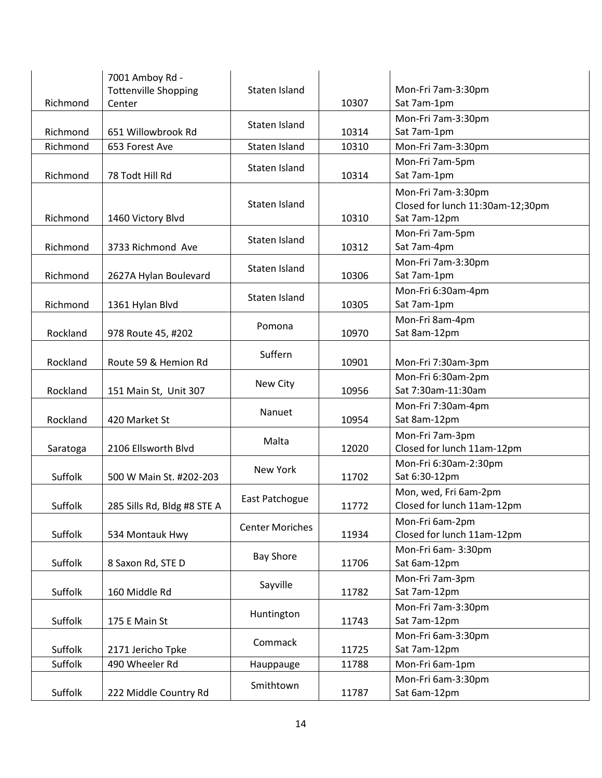| Richmond | 7001 Amboy Rd -<br><b>Tottenville Shopping</b><br>Center | Staten Island          | 10307 | Mon-Fri 7am-3:30pm<br>Sat 7am-1pm                                      |
|----------|----------------------------------------------------------|------------------------|-------|------------------------------------------------------------------------|
| Richmond | 651 Willowbrook Rd                                       | Staten Island          | 10314 | Mon-Fri 7am-3:30pm<br>Sat 7am-1pm                                      |
| Richmond | 653 Forest Ave                                           | Staten Island          | 10310 | Mon-Fri 7am-3:30pm                                                     |
| Richmond | 78 Todt Hill Rd                                          | Staten Island          | 10314 | Mon-Fri 7am-5pm<br>Sat 7am-1pm                                         |
| Richmond | 1460 Victory Blvd                                        | Staten Island          | 10310 | Mon-Fri 7am-3:30pm<br>Closed for lunch 11:30am-12;30pm<br>Sat 7am-12pm |
| Richmond | 3733 Richmond Ave                                        | Staten Island          | 10312 | Mon-Fri 7am-5pm<br>Sat 7am-4pm                                         |
| Richmond | 2627A Hylan Boulevard                                    | Staten Island          | 10306 | Mon-Fri 7am-3:30pm<br>Sat 7am-1pm                                      |
| Richmond | 1361 Hylan Blvd                                          | Staten Island          | 10305 | Mon-Fri 6:30am-4pm<br>Sat 7am-1pm                                      |
| Rockland | 978 Route 45, #202                                       | Pomona                 | 10970 | Mon-Fri 8am-4pm<br>Sat 8am-12pm                                        |
| Rockland | Route 59 & Hemion Rd                                     | Suffern                | 10901 | Mon-Fri 7:30am-3pm                                                     |
| Rockland | 151 Main St, Unit 307                                    | New City               | 10956 | Mon-Fri 6:30am-2pm<br>Sat 7:30am-11:30am                               |
| Rockland | 420 Market St                                            | Nanuet                 | 10954 | Mon-Fri 7:30am-4pm<br>Sat 8am-12pm                                     |
| Saratoga | 2106 Ellsworth Blvd                                      | Malta                  | 12020 | Mon-Fri 7am-3pm<br>Closed for lunch 11am-12pm                          |
| Suffolk  | 500 W Main St. #202-203                                  | New York               | 11702 | Mon-Fri 6:30am-2:30pm<br>Sat 6:30-12pm                                 |
| Suffolk  | 285 Sills Rd, Bldg #8 STE A                              | East Patchogue         | 11772 | Mon, wed, Fri 6am-2pm<br>Closed for lunch 11am-12pm                    |
| Suffolk  | 534 Montauk Hwy                                          | <b>Center Moriches</b> | 11934 | Mon-Fri 6am-2pm<br>Closed for lunch 11am-12pm                          |
| Suffolk  | 8 Saxon Rd, STE D                                        | <b>Bay Shore</b>       | 11706 | Mon-Fri 6am-3:30pm<br>Sat 6am-12pm                                     |
| Suffolk  | 160 Middle Rd                                            | Sayville               | 11782 | Mon-Fri 7am-3pm<br>Sat 7am-12pm                                        |
| Suffolk  | 175 E Main St                                            | Huntington             | 11743 | Mon-Fri 7am-3:30pm<br>Sat 7am-12pm                                     |
| Suffolk  | 2171 Jericho Tpke                                        | Commack                | 11725 | Mon-Fri 6am-3:30pm<br>Sat 7am-12pm                                     |
| Suffolk  | 490 Wheeler Rd                                           | Hauppauge              | 11788 | Mon-Fri 6am-1pm                                                        |
| Suffolk  | 222 Middle Country Rd                                    | Smithtown              | 11787 | Mon-Fri 6am-3:30pm<br>Sat 6am-12pm                                     |